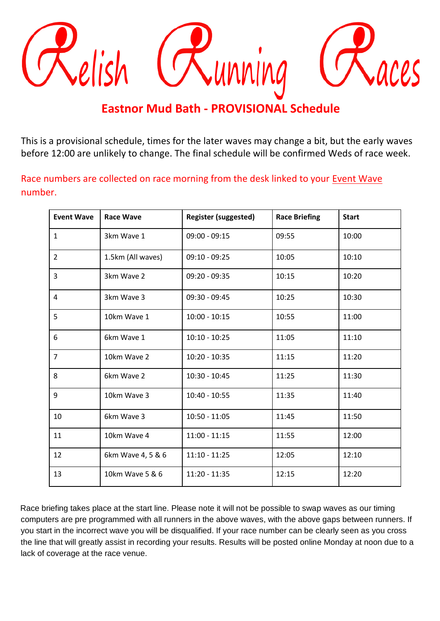

## **Eastnor Mud Bath - PROVISIONAL Schedule**

This is a provisional schedule, times for the later waves may change a bit, but the early waves before 12:00 are unlikely to change. The final schedule will be confirmed Weds of race week.

Race numbers are collected on race morning from the desk linked to your Event Wave number.

| <b>Event Wave</b> | <b>Race Wave</b>  | <b>Register (suggested)</b> | <b>Race Briefing</b> | <b>Start</b> |
|-------------------|-------------------|-----------------------------|----------------------|--------------|
| $\mathbf{1}$      | 3km Wave 1        | $09:00 - 09:15$             | 09:55                | 10:00        |
| $\overline{2}$    | 1.5km (All waves) | $09:10 - 09:25$             | 10:05                | 10:10        |
| 3                 | 3km Wave 2        | $09:20 - 09:35$             | 10:15                | 10:20        |
| 4                 | 3km Wave 3        | $09:30 - 09:45$             | 10:25                | 10:30        |
| 5                 | 10km Wave 1       | $10:00 - 10:15$             | 10:55                | 11:00        |
| 6                 | 6km Wave 1        | $10:10 - 10:25$             | 11:05                | 11:10        |
| $\overline{7}$    | 10km Wave 2       | $10:20 - 10:35$             | 11:15                | 11:20        |
| 8                 | 6km Wave 2        | $10:30 - 10:45$             | 11:25                | 11:30        |
| 9                 | 10km Wave 3       | $10:40 - 10:55$             | 11:35                | 11:40        |
| 10                | 6km Wave 3        | $10:50 - 11:05$             | 11:45                | 11:50        |
| 11                | 10km Wave 4       | $11:00 - 11:15$             | 11:55                | 12:00        |
| 12                | 6km Wave 4, 5 & 6 | $11:10 - 11:25$             | 12:05                | 12:10        |
| 13                | 10km Wave 5 & 6   | $11:20 - 11:35$             | 12:15                | 12:20        |

Race briefing takes place at the start line. Please note it will not be possible to swap waves as our timing computers are pre programmed with all runners in the above waves, with the above gaps between runners. If you start in the incorrect wave you will be disqualified. If your race number can be clearly seen as you cross the line that will greatly assist in recording your results. Results will be posted online Monday at noon due to a lack of coverage at the race venue.